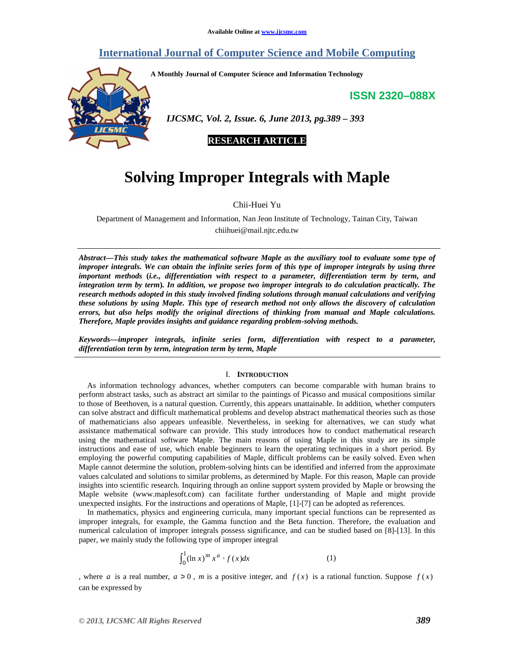# **International Journal of Computer Science and Mobile Computing**

**A Monthly Journal of Computer Science and Information Technology** 

**ISSN 2320–088X**



 *IJCSMC, Vol. 2, Issue. 6, June 2013, pg.389 – 393* 

**RESEARCH ARTICLE** 

# **Solving Improper Integrals with Maple**

Chii-Huei Yu

Department of Management and Information, Nan Jeon Institute of Technology, Tainan City, Taiwan chiihuei@mail.njtc.edu.tw

*Abstract—This study takes the mathematical software Maple as the auxiliary tool to evaluate some type of improper integrals. We can obtain the infinite series form of this type of improper integrals by using three important methods* **(***i.e., differentiation with respect to a parameter, differentiation term by term, and integration term by term***)***. In addition, we propose two improper integrals to do calculation practically. The research methods adopted in this study involved finding solutions through manual calculations and verifying these solutions by using Maple. This type of research method not only allows the discovery of calculation errors, but also helps modify the original directions of thinking from manual and Maple calculations. Therefore, Maple provides insights and guidance regarding problem-solving methods.* 

*Keywords—improper integrals, infinite series form, differentiation with respect to a parameter, differentiation term by term, integration term by term, Maple* 

#### I. **INTRODUCTION**

As information technology advances, whether computers can become comparable with human brains to perform abstract tasks, such as abstract art similar to the paintings of Picasso and musical compositions similar to those of Beethoven, is a natural question. Currently, this appears unattainable. In addition, whether computers can solve abstract and difficult mathematical problems and develop abstract mathematical theories such as those of mathematicians also appears unfeasible. Nevertheless, in seeking for alternatives, we can study what assistance mathematical software can provide. This study introduces how to conduct mathematical research using the mathematical software Maple. The main reasons of using Maple in this study are its simple instructions and ease of use, which enable beginners to learn the operating techniques in a short period. By employing the powerful computing capabilities of Maple, difficult problems can be easily solved. Even when Maple cannot determine the solution, problem-solving hints can be identified and inferred from the approximate values calculated and solutions to similar problems, as determined by Maple. For this reason, Maple can provide insights into scientific research. Inquiring through an online support system provided by Maple or browsing the Maple website (www.maplesoft.com) can facilitate further understanding of Maple and might provide unexpected insights. For the instructions and operations of Maple, [1]-[7] can be adopted as references.

In mathematics, physics and engineering curricula, many important special functions can be represented as improper integrals, for example, the Gamma function and the Beta function. Therefore, the evaluation and numerical calculation of improper integrals possess significance, and can be studied based on [8]-[13]. In this paper, we mainly study the following type of improper integral

$$
\int_0^1 (\ln x)^m x^a \cdot f(x) dx \tag{1}
$$

, where *a* is a real number,  $a > 0$ , *m* is a positive integer, and  $f(x)$  is a rational function. Suppose  $f(x)$ can be expressed by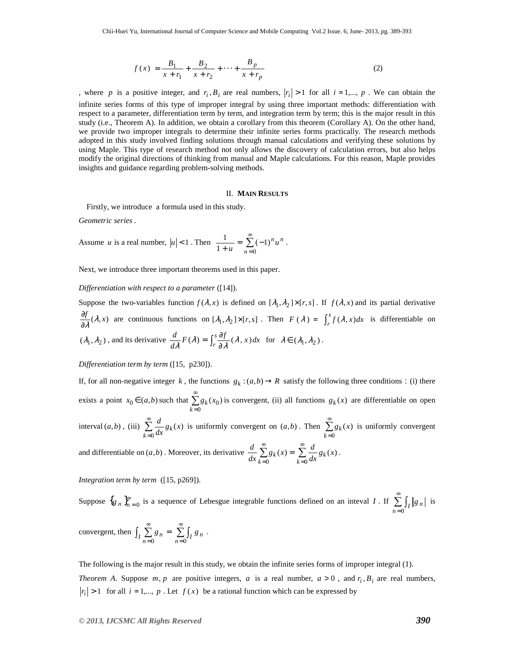$$
f(x) = \frac{B_1}{x + r_1} + \frac{B_2}{x + r_2} + \dots + \frac{B_p}{x + r_p}
$$
 (2)

, where *p* is a positive integer, and  $r_i$ ,  $B_i$  are real numbers,  $|r_i| > 1$  for all  $i = 1,..., p$ . We can obtain the infinite series forms of this type of improper integral by using three important methods: differentiation with respect to a parameter, differentiation term by term, and integration term by term; this is the major result in this study (i.e., Theorem A). In addition, we obtain a corollary from this theorem (Corollary A). On the other hand, we provide two improper integrals to determine their infinite series forms practically. The research methods adopted in this study involved finding solutions through manual calculations and verifying these solutions by using Maple. This type of research method not only allows the discovery of calculation errors, but also helps modify the original directions of thinking from manual and Maple calculations. For this reason, Maple provides insights and guidance regarding problem-solving methods.

#### II. **MAIN RESULTS**

Firstly, we introduce a formula used in this study.

*Geometric series .* 

Assume *u* is a real number,  $|u| < 1$ . Then  $\frac{1}{u} = \sum_{n=1}^{\infty} (-1)^n u^n$ *n*  $\frac{1}{u} = \sum_{n=0}^{\infty} (-1)^n u$ =  $\frac{1}{1+u} = \sum_{n=0}^{-1} (-1)$  $\frac{1}{\ }$  =  $\sum_{n=1}^{\infty}$  (-1)<sup>n</sup> u<sup>n</sup>.

Next, we introduce three important theorems used in this paper.

#### *Differentiation with respect to a parameter* ([14]).

Suppose the two-variables function  $f(\lambda, x)$  is defined on  $[\lambda_1, \lambda_2] \times [r, s]$ . If  $f(\lambda, x)$  and its partial derivative  $\frac{\partial f}{\partial \lambda}(\lambda, x)$  $\frac{\partial f}{\partial x^j}(\lambda, x)$  are continuous functions on  $[\lambda_1, \lambda_2] \times [r, s]$ . Then  $F(\lambda) = \int_r^s f(\lambda) g(x) dx$  $\int_{r}^{3} f(\lambda, x) dx$  is differentiable on  $(\lambda_1, \lambda_2)$ , and its derivative  $\frac{d}{d\lambda}F(\lambda) =$  $\frac{d}{d\lambda}F(\lambda) = \int_r^s \frac{\partial}{\partial \lambda}$ *s* ∂  $r \frac{\partial f}{\partial \lambda}(\lambda, x) dx$  for  $\lambda \in (\lambda_1, \lambda_2)$ .

#### *Differentiation term by term* ([15, p230]).

If, for all non-negative integer *k*, the functions  $g_k : (a,b) \to R$  satisfy the following three conditions: (i) there exists a point  $x_0 \in (a, b)$  such that  $\sum^{\infty}$  $=0$  $(x_0)$ *k*  $g_k(x_0)$  is convergent, (ii) all functions  $g_k(x)$  are differentiable on open interval  $(a,b)$ , (iii)  $\sum_{n=1}^{\infty}$  $=0$  $(x)$ *k*  $\frac{a}{dx} g_k(x)$  $\frac{d}{dx} g_k(x)$  is uniformly convergent on  $(a,b)$ . Then  $\sum_{n=0}^{\infty}$  $=0$  $(x)$ *k*  $g_k(x)$  is uniformly convergent

and differentiable on  $(a,b)$ . Moreover, its derivative  $\frac{d}{dx} \sum_{k=0}^{\infty} g_k(x) =$  $=0$  $(x)$ *k*  $\frac{d}{dx}\sum_{k=0}^{n}g_{k}(x)$  $\frac{d}{dx} \sum_{k=0}^{\infty} g_k(x) = \sum_{k=0}^{\infty} g_k(x)$  $=0$  $(x)$ *k*  $\frac{a}{dx} g_k(x)$  $\frac{d}{dx}g_k(x)$ .

### *Integration term by term* ([15, p269]).

Suppose  $\{g_n\}_{n=0}^{\infty}$  is a sequence of Lebesgue integrable functions defined on an inteval *I*. If  $\sum_{n=0}^{\infty} \int$  $\sum_{n=0}$  $\int_I |g_n|$  is

convergent, then 
$$
\int_I \sum_{n=0}^{\infty} g_n = \sum_{n=0}^{\infty} \int_I g_n.
$$

The following is the major result in this study, we obtain the infinite series forms of improper integral (1). *Theorem A.* Suppose  $m, p$  are positive integers,  $a$  is a real number,  $a > 0$ , and  $r_i, B_i$  are real numbers,  $|r_i| > 1$  for all  $i = 1,..., p$ . Let  $f(x)$  be a rational function which can be expressed by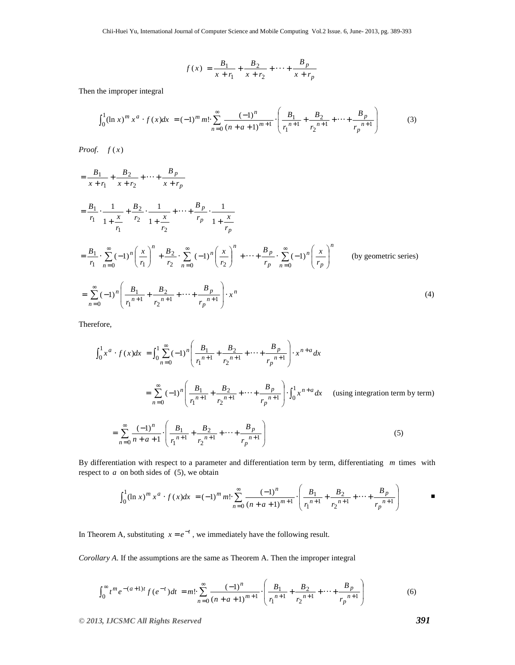$$
f(x) = \frac{B_1}{x + r_1} + \frac{B_2}{x + r_2} + \dots + \frac{B_p}{x + r_p}
$$

Then the improper integral

$$
\int_0^1 (\ln x)^m x^a \cdot f(x) dx = (-1)^m m! \sum_{n=0}^\infty \frac{(-1)^n}{(n+a+1)^{m+1}} \cdot \left( \frac{B_1}{r_1^{n+1}} + \frac{B_2}{r_2^{n+1}} + \dots + \frac{B_p}{r_p^{n+1}} \right) \tag{3}
$$

*Proof.*  $f(x)$ 

$$
= \frac{B_1}{x + r_1} + \frac{B_2}{x + r_2} + \dots + \frac{B_p}{x + r_p}
$$
  
\n
$$
= \frac{B_1}{r_1} \cdot \frac{1}{1 + \frac{x}{r_1}} + \frac{B_2}{r_2} \cdot \frac{1}{1 + \frac{x}{r_2}} + \dots + \frac{B_p}{r_p} \cdot \frac{1}{1 + \frac{x}{r_p}}
$$
  
\n
$$
= \frac{B_1}{r_1} \cdot \sum_{n=0}^{\infty} (-1)^n \left(\frac{x}{r_1}\right)^n + \frac{B_2}{r_2} \cdot \sum_{n=0}^{\infty} (-1)^n \left(\frac{x}{r_2}\right)^n + \dots + \frac{B_p}{r_p} \cdot \sum_{n=0}^{\infty} (-1)^n \left(\frac{x}{r_p}\right)^n \qquad \text{(by geometric series)}
$$
  
\n
$$
= \sum_{n=0}^{\infty} (-1)^n \left(\frac{B_1}{r_1^{n+1}} + \frac{B_2}{r_2^{n+1}} + \dots + \frac{B_p}{r_p^{n+1}}\right) \cdot x^n \qquad (4)
$$

Therefore,

$$
\int_{0}^{1} x^{a} \cdot f(x) dx = \int_{0}^{1} \sum_{n=0}^{\infty} (-1)^{n} \left( \frac{B_{1}}{r_{1}^{n+1}} + \frac{B_{2}}{r_{2}^{n+1}} + \dots + \frac{B_{p}}{r_{p}^{n+1}} \right) \cdot x^{n+a} dx
$$
  
\n
$$
= \sum_{n=0}^{\infty} (-1)^{n} \left( \frac{B_{1}}{r_{1}^{n+1}} + \frac{B_{2}}{r_{2}^{n+1}} + \dots + \frac{B_{p}}{r_{p}^{n+1}} \right) \cdot \int_{0}^{1} x^{n+a} dx \quad \text{(using integration term by term)}
$$
  
\n
$$
= \sum_{n=0}^{\infty} \frac{(-1)^{n}}{n+a+1} \cdot \left( \frac{B_{1}}{r_{1}^{n+1}} + \frac{B_{2}}{r_{2}^{n+1}} + \dots + \frac{B_{p}}{r_{p}^{n+1}} \right) \qquad (5)
$$

By differentiation with respect to a parameter and differentiation term by term, differentiating *m* times with respect to  $a$  on both sides of  $(5)$ , we obtain

$$
\int_0^1 (\ln x)^m x^a \cdot f(x) dx = (-1)^m m! \sum_{n=0}^\infty \frac{(-1)^n}{(n+a+1)^{m+1}} \cdot \left( \frac{B_1}{r_1^{n+1}} + \frac{B_2}{r_2^{n+1}} + \dots + \frac{B_p}{r_p^{n+1}} \right)
$$

In Theorem A, substituting  $x = e^{-t}$ , we immediately have the following result.

*Corollary A*. If the assumptions are the same as Theorem A. Then the improper integral

$$
\int_0^\infty t^m e^{-(a+1)t} f(e^{-t}) dt = m! \sum_{n=0}^\infty \frac{(-1)^n}{(n+a+1)^{m+1}} \cdot \left( \frac{B_1}{r_1^{n+1}} + \frac{B_2}{r_2^{n+1}} + \dots + \frac{B_p}{r_p^{n+1}} \right) \tag{6}
$$

*© 2013, IJCSMC All Rights Reserved 391*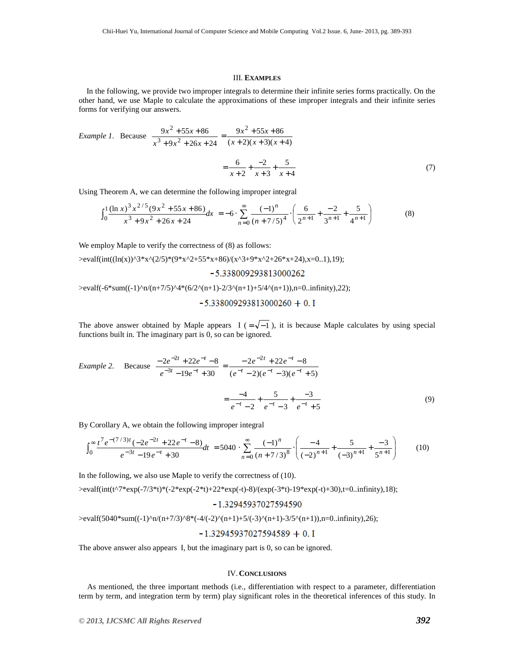#### III. **EXAMPLES**

In the following, we provide two improper integrals to determine their infinite series forms practically. On the other hand, we use Maple to calculate the approximations of these improper integrals and their infinite series forms for verifying our answers.

Example 1. Because 
$$
\frac{9x^2 + 55x + 86}{x^3 + 9x^2 + 26x + 24} = \frac{9x^2 + 55x + 86}{(x+2)(x+3)(x+4)}
$$

$$
= \frac{6}{x+2} + \frac{-2}{x+3} + \frac{5}{x+4}
$$
(7)

Using Theorem A, we can determine the following improper integral

$$
\int_0^1 \frac{(\ln x)^3 x^{2/5} (9x^2 + 55x + 86)}{x^3 + 9x^2 + 26x + 24} dx = -6 \cdot \sum_{n=0}^\infty \frac{(-1)^n}{(n+7/5)^4} \cdot \left(\frac{6}{2^{n+1}} + \frac{-2}{3^{n+1}} + \frac{5}{4^{n+1}}\right)
$$
(8)

We employ Maple to verify the correctness of (8) as follows:

 $>$ evalf(int((ln(x))^3\*x^(2/5)\*(9\*x^2+55\*x+86)/(x^3+9\*x^2+26\*x+24),x=0..1),19);

## -5.338009293813000262

 $>$ evalf(-6\*sum((-1)^n/(n+7/5)^4\*(6/2^(n+1)-2/3^(n+1)+5/4^(n+1)),n=0..infinity),22);

 $-5.338009293813000260 + 0.1$ 

The above answer obtained by Maple appears I (= $\sqrt{-1}$ ), it is because Maple calculates by using special functions built in. The imaginary part is 0, so can be ignored.

Example 2. Because 
$$
\frac{-2e^{-2t} + 22e^{-t} - 8}{e^{-3t} - 19e^{-t} + 30} = \frac{-2e^{-2t} + 22e^{-t} - 8}{(e^{-t} - 2)(e^{-t} - 3)(e^{-t} + 5)}
$$

$$
= \frac{-4}{e^{-t} - 2} + \frac{5}{e^{-t} - 3} + \frac{-3}{e^{-t} + 5}
$$
(9)

By Corollary A, we obtain the following improper integral

$$
\int_0^\infty \frac{t^7 e^{-(7/3)t} (-2e^{-2t} + 22e^{-t} - 8)}{e^{-3t} - 19e^{-t} + 30} dt = 5040 \cdot \sum_{n=0}^\infty \frac{(-1)^n}{(n+7/3)^8} \cdot \left( \frac{-4}{(-2)^{n+1}} + \frac{5}{(-3)^{n+1}} + \frac{-3}{5^{n+1}} \right) \tag{10}
$$

In the following, we also use Maple to verify the correctness of (10).

>evalf(int(t^7\*exp(-7/3\*t)\*(-2\*exp(-2\*t)+22\*exp(-t)-8)/(exp(-3\*t)-19\*exp(-t)+30),t=0..infinity),18);

### $-1.32945937027594590$

 $>$ evalf(5040\*sum((-1)^n/(n+7/3)^8\*(-4/(-2)^(n+1)+5/(-3)^(n+1)-3/5^(n+1)),n=0..infinity),26);

#### $-1.32945937027594589 + 0.1$

The above answer also appears I, but the imaginary part is 0, so can be ignored.

### IV. **CONCLUSIONS**

As mentioned, the three important methods (i.e., differentiation with respect to a parameter, differentiation term by term, and integration term by term) play significant roles in the theoretical inferences of this study. In